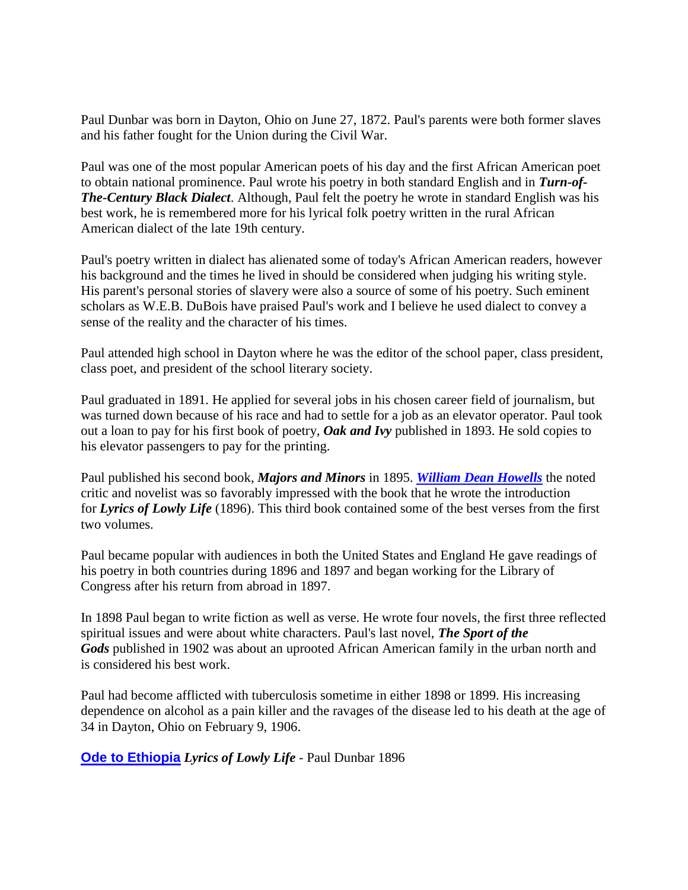Paul Dunbar was born in Dayton, Ohio on June 27, 1872. Paul's parents were both former slaves and his father fought for the Union during the Civil War.

Paul was one of the most popular American poets of his day and the first African American poet to obtain national prominence. Paul wrote his poetry in both standard English and in *Turn-of-The-Century Black Dialect*. Although, Paul felt the poetry he wrote in standard English was his best work, he is remembered more for his lyrical folk poetry written in the rural African American dialect of the late 19th century.

Paul's poetry written in dialect has alienated some of today's African American readers, however his background and the times he lived in should be considered when judging his writing style. His parent's personal stories of slavery were also a source of some of his poetry. Such eminent scholars as W.E.B. DuBois have praised Paul's work and I believe he used dialect to convey a sense of the reality and the character of his times.

Paul attended high school in Dayton where he was the editor of the school paper, class president, class poet, and president of the school literary society.

Paul graduated in 1891. He applied for several jobs in his chosen career field of journalism, but was turned down because of his race and had to settle for a job as an elevator operator. Paul took out a loan to pay for his first book of poetry, *Oak and Ivy* published in 1893. He sold copies to his elevator passengers to pay for the printing.

Paul published his second book, *Majors and Minors* in 1895. *[William Dean Howells](http://www.gonzaga.edu/faculty/campbell/howells/index.html)* the noted critic and novelist was so favorably impressed with the book that he wrote the introduction for *Lyrics of Lowly Life* (1896). This third book contained some of the best verses from the first two volumes.

Paul became popular with audiences in both the United States and England He gave readings of his poetry in both countries during 1896 and 1897 and began working for the Library of Congress after his return from abroad in 1897.

In 1898 Paul began to write fiction as well as verse. He wrote four novels, the first three reflected spiritual issues and were about white characters. Paul's last novel, *The Sport of the Gods* published in 1902 was about an uprooted African American family in the urban north and is considered his best work.

Paul had become afflicted with tuberculosis sometime in either 1898 or 1899. His increasing dependence on alcohol as a pain killer and the ravages of the disease led to his death at the age of 34 in Dayton, Ohio on February 9, 1906.

**[Ode to Ethiopia](http://multirace.org/firstday/stamp76.htm)** *Lyrics of Lowly Life* - Paul Dunbar 1896